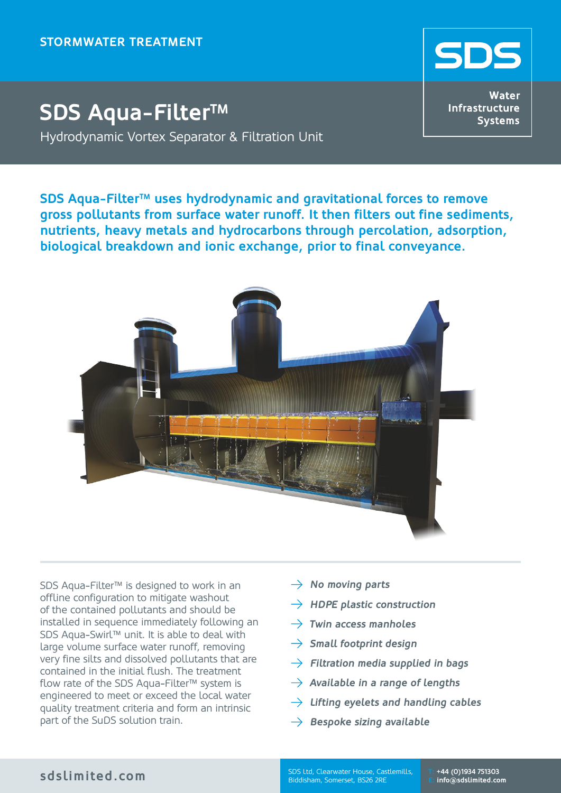

## **SDS Aqua-Filter™** Hydrodynamic Vortex Separator & Filtration Unit

**Water** Infrastructure **Systems** 

**SDS Aqua-Filter™ uses hydrodynamic and gravitational forces to remove gross pollutants from surface water runoff. It then filters out fine sediments, nutrients, heavy metals and hydrocarbons through percolation, adsorption, biological breakdown and ionic exchange, prior to final conveyance.**



SDS Aqua-Filter™ is designed to work in an offline configuration to mitigate washout of the contained pollutants and should be installed in sequence immediately following an SDS Aqua-Swirl™ unit. It is able to deal with large volume surface water runoff, removing very fine silts and dissolved pollutants that are contained in the initial flush. The treatment flow rate of the SDS Aqua-Filter™ system is engineered to meet or exceed the local water quality treatment criteria and form an intrinsic part of the SuDS solution train.

- $\rightarrow$  No moving parts
- $\rightarrow$  HDPE plastic construction
- $\rightarrow$  Twin access manholes
- $\rightarrow$  Small footprint design
- $\rightarrow$  Filtration media supplied in bags
- $\rightarrow$  Available in a range of lengths
- $\rightarrow$  Lifting eyelets and handling cables
- $\rightarrow$  Bespoke sizing available